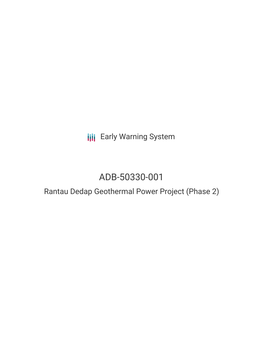**III** Early Warning System

# ADB-50330-001

## Rantau Dedap Geothermal Power Project (Phase 2)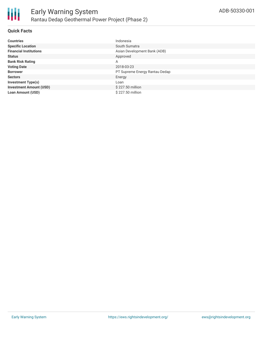

#### **Quick Facts**

| <b>Countries</b>               | Indonesia                      |
|--------------------------------|--------------------------------|
| <b>Specific Location</b>       | South Sumatra                  |
| <b>Financial Institutions</b>  | Asian Development Bank (ADB)   |
| <b>Status</b>                  | Approved                       |
| <b>Bank Risk Rating</b>        | A                              |
| <b>Voting Date</b>             | 2018-03-23                     |
| <b>Borrower</b>                | PT Supreme Energy Rantau Dedap |
| <b>Sectors</b>                 | Energy                         |
| <b>Investment Type(s)</b>      | Loan                           |
| <b>Investment Amount (USD)</b> | \$227.50 million               |
| <b>Loan Amount (USD)</b>       | \$227.50 million               |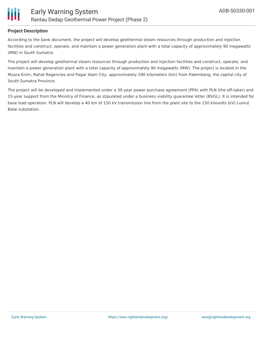

#### **Project Description**

According to the bank document, the project will develop geothermal steam resources through production and injection facilities and construct, operate, and maintain a power generation plant with a total capacity of approximately 90 megawatts (MW) in South Sumatra.

The project will develop geothermal steam resources through production and injection facilities and construct, operate, and maintain a power generation plant with a total capacity of approximately 90 megawatts (MW). The project is located in the Muara Enim, Rahat Regencies and Pagar Alam City, approximately 290 kilometers (km) from Palembang, the capital city of South Sumatra Province.

The project will be developed and implemented under a 30-year power purchase agreement (PPA) with PLN (the off-taker) and 15-year support from the Ministry of Finance, as stipulated under a business viability guarantee letter (BVGL). It is intended for base load operation. PLN will develop a 40 km of 150 kV transmission line from the plant site to the 150 kilovolts (kV) Lumut Balai substation.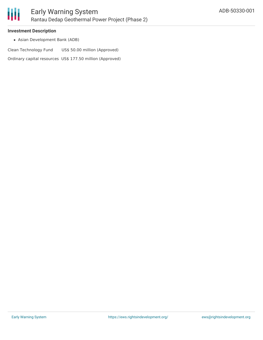

#### **Investment Description**

Asian Development Bank (ADB)

Clean Technology Fund US\$ 50.00 million (Approved)

Ordinary capital resources US\$ 177.50 million (Approved)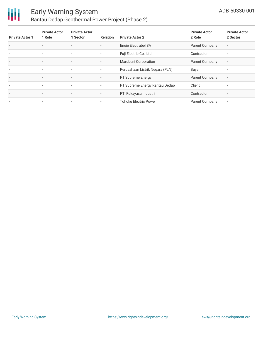

### Early Warning System Rantau Dedap Geothermal Power Project (Phase 2)

| <b>Private Actor 1</b>   | <b>Private Actor</b><br>1 Role | <b>Private Actor</b><br>1 Sector | <b>Relation</b>          | <b>Private Actor 2</b>          | <b>Private Actor</b><br>2 Role | <b>Private Actor</b><br>2 Sector |
|--------------------------|--------------------------------|----------------------------------|--------------------------|---------------------------------|--------------------------------|----------------------------------|
| $\overline{\phantom{a}}$ | $\overline{\phantom{a}}$       | $\overline{\phantom{a}}$         | $\overline{\phantom{a}}$ | Engie Electrabel SA             | Parent Company                 | $\overline{\phantom{a}}$         |
| $\overline{\phantom{a}}$ | $\overline{\phantom{a}}$       | $\sim$                           | $\overline{\phantom{a}}$ | Fuji Electric Co., Ltd          | Contractor                     | н.                               |
| $\overline{\phantom{a}}$ | $\overline{\phantom{a}}$       | $\overline{\phantom{a}}$         | $\overline{\phantom{a}}$ | Marubeni Corporation            | <b>Parent Company</b>          | $\overline{\phantom{a}}$         |
| $\overline{\phantom{a}}$ | $\sim$                         | $\overline{\phantom{a}}$         | $\sim$                   | Perusahaan Listrik Negara (PLN) | Buyer                          | $\overline{\phantom{a}}$         |
| ٠                        | $\overline{\phantom{a}}$       | $\overline{\phantom{a}}$         | $\sim$                   | <b>PT Supreme Energy</b>        | Parent Company                 | $\overline{\phantom{a}}$         |
| $\overline{\phantom{a}}$ | $\sim$                         | $\sim$                           | $\overline{\phantom{a}}$ | PT Supreme Energy Rantau Dedap  | Client                         | $\overline{\phantom{a}}$         |
| $\overline{\phantom{a}}$ | $\overline{\phantom{a}}$       | $\sim$                           | ۰.                       | PT. Rekayasa Industri           | Contractor                     | $\overline{\phantom{a}}$         |
| $\overline{\phantom{a}}$ | $\overline{\phantom{a}}$       | $\overline{\phantom{a}}$         | $\overline{\phantom{a}}$ | <b>Tohoku Electric Power</b>    | Parent Company                 | ۰                                |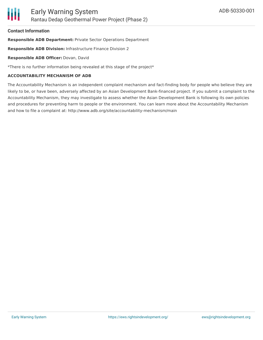#### **Contact Information**

**Responsible ADB Department:** Private Sector Operations Department

**Responsible ADB Division:** Infrastructure Finance Division 2

#### **Responsible ADB Officer:** Dovan, David

\*There is no further information being revealed at this stage of the project\*

#### **ACCOUNTABILITY MECHANISM OF ADB**

The Accountability Mechanism is an independent complaint mechanism and fact-finding body for people who believe they are likely to be, or have been, adversely affected by an Asian Development Bank-financed project. If you submit a complaint to the Accountability Mechanism, they may investigate to assess whether the Asian Development Bank is following its own policies and procedures for preventing harm to people or the environment. You can learn more about the Accountability Mechanism and how to file a complaint at: http://www.adb.org/site/accountability-mechanism/main